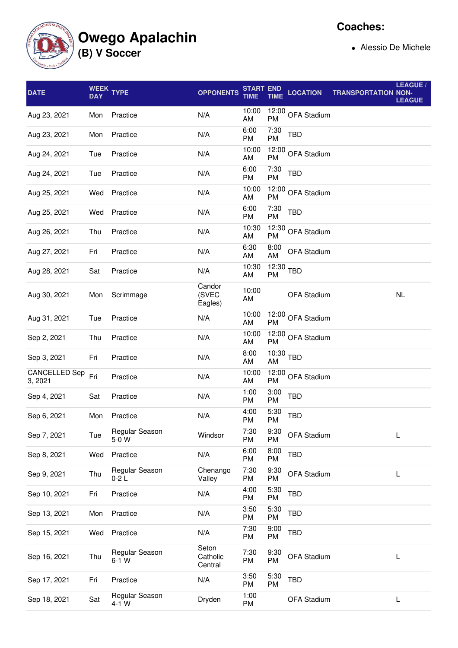**Owego Apalachin**

**(B) V Soccer**

**Coaches:**

Alessio De Michele

| <b>DATE</b>                     | <b>DAY</b> | WEEK TYPE                 | <b>OPPONENTS</b>             | <b>START END</b><br><b>TIME</b> | <b>TIME</b>       | <b>LOCATION</b>    | <b>TRANSPORTATION NON-</b> | LEAGUE /<br><b>LEAGUE</b> |
|---------------------------------|------------|---------------------------|------------------------------|---------------------------------|-------------------|--------------------|----------------------------|---------------------------|
| Aug 23, 2021                    | Mon        | Practice                  | N/A                          | 10:00<br>AM                     | 12:00<br>PM       | OFA Stadium        |                            |                           |
| Aug 23, 2021                    | Mon        | Practice                  | N/A                          | 6:00<br><b>PM</b>               | 7:30<br>PM        | TBD                |                            |                           |
| Aug 24, 2021                    | Tue        | Practice                  | N/A                          | 10:00<br>AM                     | 12:00<br>PM       | OFA Stadium        |                            |                           |
| Aug 24, 2021                    | Tue        | Practice                  | N/A                          | 6:00<br><b>PM</b>               | 7:30<br><b>PM</b> | <b>TBD</b>         |                            |                           |
| Aug 25, 2021                    | Wed        | Practice                  | N/A                          | 10:00<br>AM                     |                   | 12:00 OFA Stadium  |                            |                           |
| Aug 25, 2021                    | Wed        | Practice                  | N/A                          | 6:00<br><b>PM</b>               | 7:30<br>PM        | <b>TBD</b>         |                            |                           |
| Aug 26, 2021                    | Thu        | Practice                  | N/A                          | 10:30<br>AM                     | 12:30<br>PM       | OFA Stadium        |                            |                           |
| Aug 27, 2021                    | Fri        | Practice                  | N/A                          | 6:30<br>AM                      | 8:00<br>AM        | <b>OFA Stadium</b> |                            |                           |
| Aug 28, 2021                    | Sat        | Practice                  | N/A                          | 10:30<br>AM                     | 12:30<br>PM       | <b>TBD</b>         |                            |                           |
| Aug 30, 2021                    | Mon        | Scrimmage                 | Candor<br>(SVEC<br>Eagles)   | 10:00<br>AM                     |                   | OFA Stadium        |                            | <b>NL</b>                 |
| Aug 31, 2021                    | Tue        | Practice                  | N/A                          | 10:00<br>AM                     | 12:00<br>PM       | OFA Stadium        |                            |                           |
| Sep 2, 2021                     | Thu        | Practice                  | N/A                          | 10:00<br>AM                     | 12:00<br>PM       | OFA Stadium        |                            |                           |
| Sep 3, 2021                     | Fri        | Practice                  | N/A                          | 8:00<br>AM                      | $10:30$ TBD<br>AM |                    |                            |                           |
| <b>CANCELLED Sep</b><br>3, 2021 | Fri        | Practice                  | N/A                          | 10:00<br>AM                     | PM                | 12:00 OFA Stadium  |                            |                           |
| Sep 4, 2021                     | Sat        | Practice                  | N/A                          | 1:00<br>PM                      | 3:00<br>PM        | <b>TBD</b>         |                            |                           |
| Sep 6, 2021                     | Mon        | Practice                  | N/A                          | 4:00<br>PM                      | 5:30<br>PM        | <b>TBD</b>         |                            |                           |
| Sep 7, 2021                     | Tue        | Regular Season<br>5-0 W   | Windsor                      | 7:30<br>PM                      | 9:30<br>PM        | <b>OFA Stadium</b> |                            | L                         |
| Sep 8, 2021                     | Wed        | Practice                  | N/A                          | 6:00<br><b>PM</b>               | 8:00<br>PM        | <b>TBD</b>         |                            |                           |
| Sep 9, 2021                     | Thu        | Regular Season<br>$0-2L$  | Chenango<br>Valley           | 7:30<br><b>PM</b>               | 9:30<br>PM        | OFA Stadium        |                            | L                         |
| Sep 10, 2021                    | Fri        | Practice                  | N/A                          | 4:00<br><b>PM</b>               | 5:30<br>PM        | TBD                |                            |                           |
| Sep 13, 2021                    | Mon        | Practice                  | N/A                          | 3:50<br><b>PM</b>               | 5:30<br>PM        | <b>TBD</b>         |                            |                           |
| Sep 15, 2021                    | Wed        | Practice                  | N/A                          | 7:30<br>PM                      | 9:00<br>PM        | <b>TBD</b>         |                            |                           |
| Sep 16, 2021                    | Thu        | Regular Season<br>$6-1$ W | Seton<br>Catholic<br>Central | 7:30<br>PM                      | 9:30<br>PM        | OFA Stadium        |                            | L                         |
| Sep 17, 2021                    | Fri        | Practice                  | N/A                          | 3:50<br><b>PM</b>               | 5:30<br>PM        | <b>TBD</b>         |                            |                           |
| Sep 18, 2021                    | Sat        | Regular Season<br>$4-1$ W | Dryden                       | 1:00<br>PM                      |                   | OFA Stadium        |                            | L                         |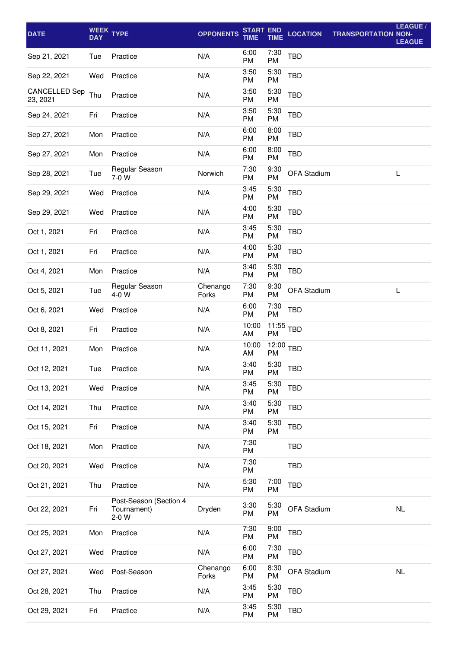| <b>DATE</b>                      | <b>DAY</b> | WEEK TYPE                                        | <b>OPPONENTS</b>  | <b>START END</b><br><b>TIME</b> | <b>TIME</b>       | <b>LOCATION</b> | <b>TRANSPORTATION NON-</b> | LEAGUE /<br><b>LEAGUE</b> |
|----------------------------------|------------|--------------------------------------------------|-------------------|---------------------------------|-------------------|-----------------|----------------------------|---------------------------|
| Sep 21, 2021                     | Tue        | Practice                                         | N/A               | 6:00<br>PM                      | 7:30<br><b>PM</b> | <b>TBD</b>      |                            |                           |
| Sep 22, 2021                     | Wed        | Practice                                         | N/A               | 3:50<br>PM                      | 5:30<br><b>PM</b> | <b>TBD</b>      |                            |                           |
| <b>CANCELLED Sep</b><br>23, 2021 | Thu        | Practice                                         | N/A               | 3:50<br>PM                      | 5:30<br>PM        | <b>TBD</b>      |                            |                           |
| Sep 24, 2021                     | Fri        | Practice                                         | N/A               | 3:50<br>PM                      | 5:30<br><b>PM</b> | <b>TBD</b>      |                            |                           |
| Sep 27, 2021                     | Mon        | Practice                                         | N/A               | 6:00<br>PM                      | 8:00<br><b>PM</b> | <b>TBD</b>      |                            |                           |
| Sep 27, 2021                     | Mon        | Practice                                         | N/A               | 6:00<br>PM                      | 8:00<br><b>PM</b> | <b>TBD</b>      |                            |                           |
| Sep 28, 2021                     | Tue        | Regular Season<br>7-0 W                          | Norwich           | 7:30<br>PM                      | 9:30<br>PM        | OFA Stadium     |                            | L                         |
| Sep 29, 2021                     | Wed        | Practice                                         | N/A               | 3:45<br>PM                      | 5:30<br><b>PM</b> | TBD             |                            |                           |
| Sep 29, 2021                     | Wed        | Practice                                         | N/A               | 4:00<br>PM                      | 5:30<br>PM        | <b>TBD</b>      |                            |                           |
| Oct 1, 2021                      | Fri        | Practice                                         | N/A               | 3:45<br>PM                      | 5:30<br><b>PM</b> | <b>TBD</b>      |                            |                           |
| Oct 1, 2021                      | Fri        | Practice                                         | N/A               | 4:00<br>PM                      | 5:30<br>PM        | <b>TBD</b>      |                            |                           |
| Oct 4, 2021                      | Mon        | Practice                                         | N/A               | 3:40<br>PM                      | 5:30<br><b>PM</b> | <b>TBD</b>      |                            |                           |
| Oct 5, 2021                      | Tue        | Regular Season<br>$4-0$ W                        | Chenango<br>Forks | 7:30<br>PM                      | 9:30<br>PM        | OFA Stadium     |                            | L                         |
| Oct 6, 2021                      | Wed        | Practice                                         | N/A               | 6:00<br><b>PM</b>               | 7:30<br><b>PM</b> | <b>TBD</b>      |                            |                           |
| Oct 8, 2021                      | Fri        | Practice                                         | N/A               | 10:00<br>AM                     | 11:55<br>PM       | TBD             |                            |                           |
| Oct 11, 2021                     | Mon        | Practice                                         | N/A               | 10:00<br>AM                     | 12:00<br>PM       | <b>TBD</b>      |                            |                           |
| Oct 12, 2021                     | Tue        | Practice                                         | N/A               | 3:40<br>PM                      | 5:30<br><b>PM</b> | <b>TBD</b>      |                            |                           |
| Oct 13, 2021                     | Wed        | Practice                                         | N/A               | 3:45<br>PM                      | 5:30<br><b>PM</b> | TBD             |                            |                           |
| Oct 14, 2021                     | Thu        | Practice                                         | N/A               | 3:40<br>PM                      | 5:30<br><b>PM</b> | <b>TBD</b>      |                            |                           |
| Oct 15, 2021                     | Fri        | Practice                                         | N/A               | 3:40<br>PM                      | 5:30<br>PM        | <b>TBD</b>      |                            |                           |
| Oct 18, 2021                     | Mon        | Practice                                         | N/A               | 7:30<br>PM                      |                   | <b>TBD</b>      |                            |                           |
| Oct 20, 2021                     | Wed        | Practice                                         | N/A               | 7:30<br>PM                      |                   | <b>TBD</b>      |                            |                           |
| Oct 21, 2021                     | Thu        | Practice                                         | N/A               | 5:30<br>PM                      | 7:00<br><b>PM</b> | TBD             |                            |                           |
| Oct 22, 2021                     | Fri        | Post-Season (Section 4<br>Tournament)<br>$2-0$ W | Dryden            | 3:30<br>PM                      | 5:30<br><b>PM</b> | OFA Stadium     |                            | <b>NL</b>                 |
| Oct 25, 2021                     | Mon        | Practice                                         | N/A               | 7:30<br>PM                      | 9:00<br><b>PM</b> | <b>TBD</b>      |                            |                           |
| Oct 27, 2021                     | Wed        | Practice                                         | N/A               | 6:00<br>PM                      | 7:30<br><b>PM</b> | <b>TBD</b>      |                            |                           |
| Oct 27, 2021                     | Wed        | Post-Season                                      | Chenango<br>Forks | 6:00<br>PM                      | 8:30<br>PM        | OFA Stadium     |                            | <b>NL</b>                 |
| Oct 28, 2021                     | Thu        | Practice                                         | N/A               | 3:45<br>PM                      | 5:30<br><b>PM</b> | <b>TBD</b>      |                            |                           |
| Oct 29, 2021                     | Fri        | Practice                                         | N/A               | 3:45<br>PM                      | 5:30<br>PM        | <b>TBD</b>      |                            |                           |